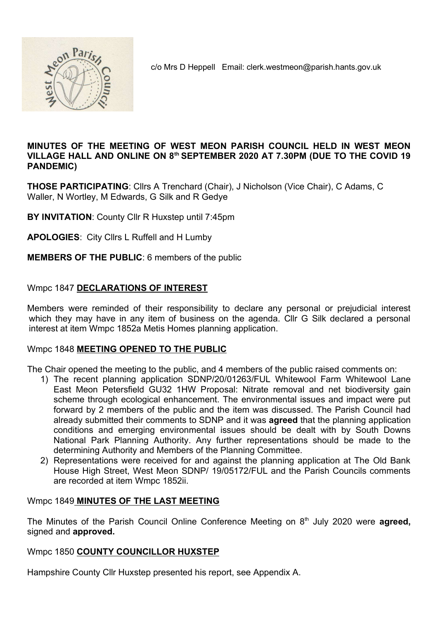

c/o Mrs D Heppell Email: clerk.westmeon@parish.hants.gov.uk

#### MINUTES OF THE MEETING OF WEST MEON PARISH COUNCIL HELD IN WEST MEON VILLAGE HALL AND ONLINE ON 8<sup>th</sup> SEPTEMBER 2020 AT 7.30PM (DUE TO THE COVID 19 PANDEMIC)

THOSE PARTICIPATING: Cllrs A Trenchard (Chair), J Nicholson (Vice Chair), C Adams, C Waller, N Wortley, M Edwards, G Silk and R Gedye

BY INVITATION: County Cllr R Huxstep until 7:45pm

APOLOGIES: City Cllrs L Ruffell and H Lumby

#### MEMBERS OF THE PUBLIC: 6 members of the public

#### Wmpc 1847 DECLARATIONS OF INTEREST

Members were reminded of their responsibility to declare any personal or prejudicial interest which they may have in any item of business on the agenda. Cllr G Silk declared a personal interest at item Wmpc 1852a Metis Homes planning application.

#### Wmpc 1848 MEETING OPENED TO THE PUBLIC

The Chair opened the meeting to the public, and 4 members of the public raised comments on:

- 1) The recent planning application SDNP/20/01263/FUL Whitewool Farm Whitewool Lane East Meon Petersfield GU32 1HW Proposal: Nitrate removal and net biodiversity gain scheme through ecological enhancement. The environmental issues and impact were put forward by 2 members of the public and the item was discussed. The Parish Council had already submitted their comments to SDNP and it was agreed that the planning application conditions and emerging environmental issues should be dealt with by South Downs National Park Planning Authority. Any further representations should be made to the determining Authority and Members of the Planning Committee.
- 2) Representations were received for and against the planning application at The Old Bank House High Street, West Meon SDNP/ 19/05172/FUL and the Parish Councils comments are recorded at item Wmpc 1852ii.

#### Wmpc 1849 MINUTES OF THE LAST MEETING

The Minutes of the Parish Council Online Conference Meeting on  $8<sup>th</sup>$  July 2020 were **agreed**, signed and approved.

#### Wmpc 1850 COUNTY COUNCILLOR HUXSTEP

Hampshire County Cllr Huxstep presented his report, see Appendix A.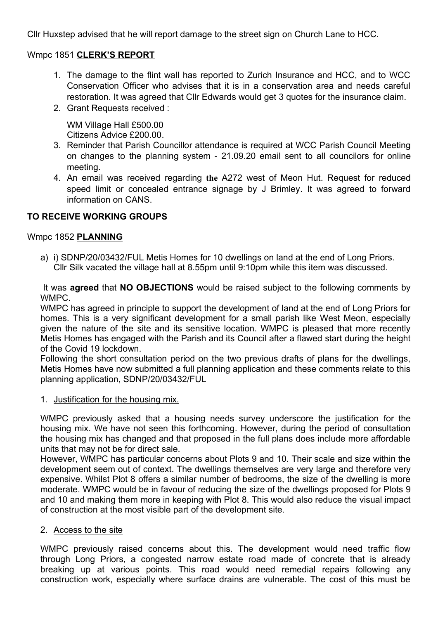Cllr Huxstep advised that he will report damage to the street sign on Church Lane to HCC.

### Wmpc 1851 CLERK'S REPORT

- 1. The damage to the flint wall has reported to Zurich Insurance and HCC, and to WCC Conservation Officer who advises that it is in a conservation area and needs careful restoration. It was agreed that Cllr Edwards would get 3 quotes for the insurance claim.
- 2. Grant Requests received :

WM Village Hall £500.00 Citizens Advice £200.00.

- 3. Reminder that Parish Councillor attendance is required at WCC Parish Council Meeting on changes to the planning system - 21.09.20 email sent to all councilors for online meeting.
- 4. An email was received regarding the A272 west of Meon Hut. Request for reduced speed limit or concealed entrance signage by J Brimley. It was agreed to forward information on CANS.

### TO RECEIVE WORKING GROUPS

### Wmpc 1852 PLANNING

a) i) SDNP/20/03432/FUL Metis Homes for 10 dwellings on land at the end of Long Priors. Cllr Silk vacated the village hall at 8.55pm until 9:10pm while this item was discussed.

It was **agreed** that **NO OBJECTIONS** would be raised subject to the following comments by WMPC.

WMPC has agreed in principle to support the development of land at the end of Long Priors for homes. This is a very significant development for a small parish like West Meon, especially given the nature of the site and its sensitive location. WMPC is pleased that more recently Metis Homes has engaged with the Parish and its Council after a flawed start during the height of the Covid 19 lockdown.

Following the short consultation period on the two previous drafts of plans for the dwellings, Metis Homes have now submitted a full planning application and these comments relate to this planning application, SDNP/20/03432/FUL

1. Justification for the housing mix.

WMPC previously asked that a housing needs survey underscore the justification for the housing mix. We have not seen this forthcoming. However, during the period of consultation the housing mix has changed and that proposed in the full plans does include more affordable units that may not be for direct sale.

However, WMPC has particular concerns about Plots 9 and 10. Their scale and size within the development seem out of context. The dwellings themselves are very large and therefore very expensive. Whilst Plot 8 offers a similar number of bedrooms, the size of the dwelling is more moderate. WMPC would be in favour of reducing the size of the dwellings proposed for Plots 9 and 10 and making them more in keeping with Plot 8. This would also reduce the visual impact of construction at the most visible part of the development site.

#### 2. Access to the site

WMPC previously raised concerns about this. The development would need traffic flow through Long Priors, a congested narrow estate road made of concrete that is already breaking up at various points. This road would need remedial repairs following any construction work, especially where surface drains are vulnerable. The cost of this must be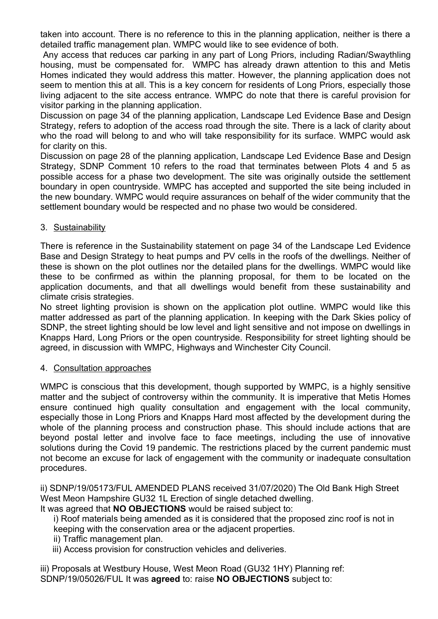taken into account. There is no reference to this in the planning application, neither is there a detailed traffic management plan. WMPC would like to see evidence of both.

Any access that reduces car parking in any part of Long Priors, including Radian/Swaythling housing, must be compensated for. WMPC has already drawn attention to this and Metis Homes indicated they would address this matter. However, the planning application does not seem to mention this at all. This is a key concern for residents of Long Priors, especially those living adjacent to the site access entrance. WMPC do note that there is careful provision for visitor parking in the planning application.

Discussion on page 34 of the planning application, Landscape Led Evidence Base and Desian Strategy, refers to adoption of the access road through the site. There is a lack of clarity about who the road will belong to and who will take responsibility for its surface. WMPC would ask for clarity on this.

Discussion on page 28 of the planning application, Landscape Led Evidence Base and Design Strategy, SDNP Comment 10 refers to the road that terminates between Plots 4 and 5 as possible access for a phase two development. The site was originally outside the settlement boundary in open countryside. WMPC has accepted and supported the site being included in the new boundary. WMPC would require assurances on behalf of the wider community that the settlement boundary would be respected and no phase two would be considered.

3. Sustainability

There is reference in the Sustainability statement on page 34 of the Landscape Led Evidence Base and Design Strategy to heat pumps and PV cells in the roofs of the dwellings. Neither of these is shown on the plot outlines nor the detailed plans for the dwellings. WMPC would like these to be confirmed as within the planning proposal, for them to be located on the application documents, and that all dwellings would benefit from these sustainability and climate crisis strategies.

No street lighting provision is shown on the application plot outline. WMPC would like this matter addressed as part of the planning application. In keeping with the Dark Skies policy of SDNP, the street lighting should be low level and light sensitive and not impose on dwellings in Knapps Hard, Long Priors or the open countryside. Responsibility for street lighting should be agreed, in discussion with WMPC, Highways and Winchester City Council.

4. Consultation approaches

WMPC is conscious that this development, though supported by WMPC, is a highly sensitive matter and the subject of controversy within the community. It is imperative that Metis Homes ensure continued high quality consultation and engagement with the local community, especially those in Long Priors and Knapps Hard most affected by the development during the whole of the planning process and construction phase. This should include actions that are beyond postal letter and involve face to face meetings, including the use of innovative solutions during the Covid 19 pandemic. The restrictions placed by the current pandemic must not become an excuse for lack of engagement with the community or inadequate consultation procedures.

ii) SDNP/19/05173/FUL AMENDED PLANS received 31/07/2020) The Old Bank High Street West Meon Hampshire GU32 1L Erection of single detached dwelling.

It was agreed that **NO OBJECTIONS** would be raised subject to:

i) Roof materials being amended as it is considered that the proposed zinc roof is not in keeping with the conservation area or the adjacent properties.

- ii) Traffic management plan.
- iii) Access provision for construction vehicles and deliveries.

iii) Proposals at Westbury House, West Meon Road (GU32 1HY) Planning ref: SDNP/19/05026/FUL It was agreed to: raise NO OBJECTIONS subject to: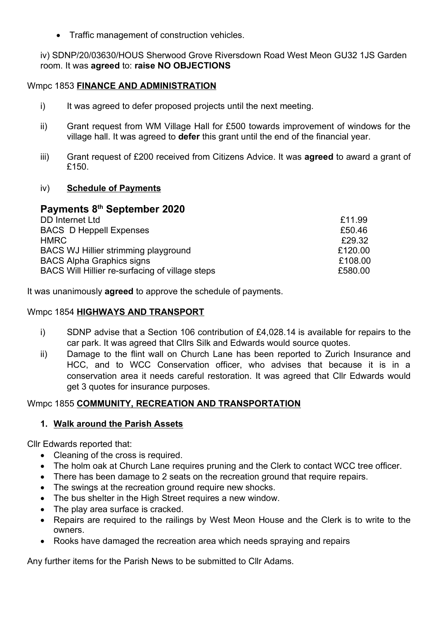Traffic management of construction vehicles.

iv) SDNP/20/03630/HOUS Sherwood Grove Riversdown Road West Meon GU32 1JS Garden room. It was agreed to: raise NO OBJECTIONS

#### Wmpc 1853 FINANCE AND ADMINISTRATION

- i) It was agreed to defer proposed projects until the next meeting.
- ii) Grant request from WM Village Hall for £500 towards improvement of windows for the village hall. It was agreed to defer this grant until the end of the financial year.
- iii) Grant request of £200 received from Citizens Advice. It was **agreed** to award a grant of £150

#### iv) Schedule of Payments

# Payments 8<sup>th</sup> September 2020

| <b>DD</b> Internet Ltd                          | £11.99  |
|-------------------------------------------------|---------|
| <b>BACS D Heppell Expenses</b>                  | £50.46  |
| <b>HMRC</b>                                     | £29.32  |
| BACS WJ Hillier strimming playground            | £120.00 |
| <b>BACS Alpha Graphics signs</b>                | £108.00 |
| BACS Will Hillier re-surfacing of village steps | £580.00 |

It was unanimously **agreed** to approve the schedule of payments.

#### Wmpc 1854 HIGHWAYS AND TRANSPORT

- i) SDNP advise that a Section 106 contribution of £4,028.14 is available for repairs to the car park. It was agreed that Cllrs Silk and Edwards would source quotes.
- ii) Damage to the flint wall on Church Lane has been reported to Zurich Insurance and HCC, and to WCC Conservation officer, who advises that because it is in a conservation area it needs careful restoration. It was agreed that Cllr Edwards would get 3 quotes for insurance purposes.

#### Wmpc 1855 COMMUNITY, RECREATION AND TRANSPORTATION

#### 1. Walk around the Parish Assets

Cllr Edwards reported that:

- Cleaning of the cross is required.
- The holm oak at Church Lane requires pruning and the Clerk to contact WCC tree officer.
- There has been damage to 2 seats on the recreation ground that require repairs.
- The swings at the recreation ground require new shocks.
- The bus shelter in the High Street requires a new window.
- The play area surface is cracked.
- Repairs are required to the railings by West Meon House and the Clerk is to write to the owners.
- Rooks have damaged the recreation area which needs spraying and repairs

Any further items for the Parish News to be submitted to Cllr Adams.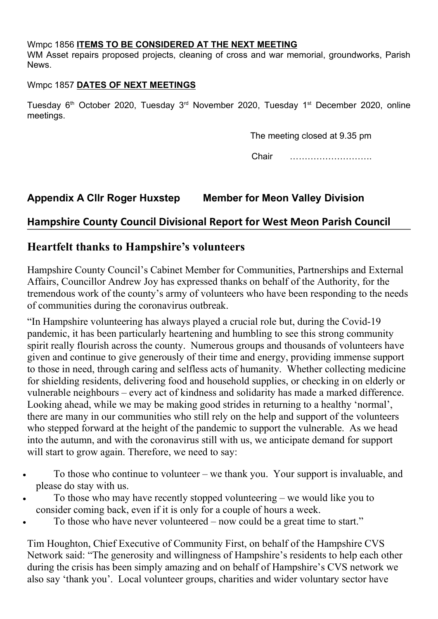### Wmpc 1856 ITEMS TO BE CONSIDERED AT THE NEXT MEETING

WM Asset repairs proposed projects, cleaning of cross and war memorial, groundworks, Parish News.

## Wmpc 1857 DATES OF NEXT MEETINGS

Tuesday 6<sup>th</sup> October 2020, Tuesday 3<sup>rd</sup> November 2020, Tuesday 1<sup>st</sup> December 2020, online meetings.

The meeting closed at 9.35 pm

Chair ……………………….

## Appendix A Cllr Roger Huxstep Member for Meon Valley Division

## Hampshire County Council Divisional Report for West Meon Parish Council

## Heartfelt thanks to Hampshire's volunteers

Hampshire County Council's Cabinet Member for Communities, Partnerships and External Affairs, Councillor Andrew Joy has expressed thanks on behalf of the Authority, for the tremendous work of the county's army of volunteers who have been responding to the needs of communities during the coronavirus outbreak.

"In Hampshire volunteering has always played a crucial role but, during the Covid-19 pandemic, it has been particularly heartening and humbling to see this strong community spirit really flourish across the county. Numerous groups and thousands of volunteers have given and continue to give generously of their time and energy, providing immense support to those in need, through caring and selfless acts of humanity. Whether collecting medicine for shielding residents, delivering food and household supplies, or checking in on elderly or vulnerable neighbours – every act of kindness and solidarity has made a marked difference. Looking ahead, while we may be making good strides in returning to a healthy 'normal', there are many in our communities who still rely on the help and support of the volunteers who stepped forward at the height of the pandemic to support the vulnerable. As we head into the autumn, and with the coronavirus still with us, we anticipate demand for support will start to grow again. Therefore, we need to say:

- To those who continue to volunteer we thank you. Your support is invaluable, and please do stay with us.
- To those who may have recently stopped volunteering we would like you to consider coming back, even if it is only for a couple of hours a week.
- To those who have never volunteered now could be a great time to start."

Tim Houghton, Chief Executive of Community First, on behalf of the Hampshire CVS Network said: "The generosity and willingness of Hampshire's residents to help each other during the crisis has been simply amazing and on behalf of Hampshire's CVS network we also say 'thank you'. Local volunteer groups, charities and wider voluntary sector have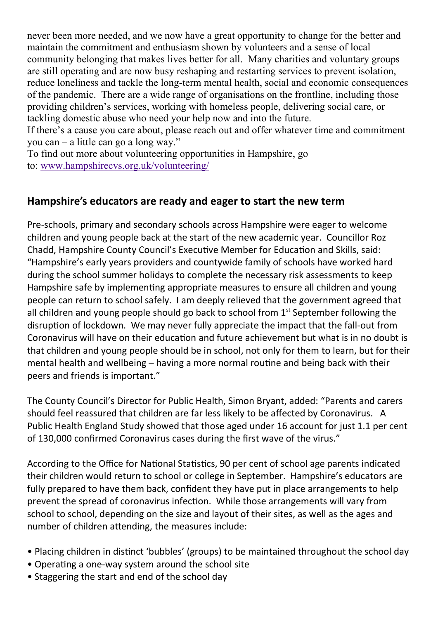never been more needed, and we now have a great opportunity to change for the better and maintain the commitment and enthusiasm shown by volunteers and a sense of local community belonging that makes lives better for all. Many charities and voluntary groups are still operating and are now busy reshaping and restarting services to prevent isolation, reduce loneliness and tackle the long-term mental health, social and economic consequences of the pandemic. There are a wide range of organisations on the frontline, including those providing children's services, working with homeless people, delivering social care, or tackling domestic abuse who need your help now and into the future.

If there's a cause you care about, please reach out and offer whatever time and commitment you can – a little can go a long way."

To find out more about volunteering opportunities in Hampshire, go to: www.hampshirecvs.org.uk/volunteering/

## Hampshire's educators are ready and eager to start the new term

Pre-schools, primary and secondary schools across Hampshire were eager to welcome children and young people back at the start of the new academic year. Councillor Roz Chadd, Hampshire County Council's Executive Member for Education and Skills, said: "Hampshire's early years providers and countywide family of schools have worked hard during the school summer holidays to complete the necessary risk assessments to keep Hampshire safe by implementing appropriate measures to ensure all children and young people can return to school safely. I am deeply relieved that the government agreed that all children and young people should go back to school from  $1<sup>st</sup>$  September following the disruption of lockdown. We may never fully appreciate the impact that the fall-out from Coronavirus will have on their education and future achievement but what is in no doubt is that children and young people should be in school, not only for them to learn, but for their mental health and wellbeing – having a more normal routine and being back with their peers and friends is important."

The County Council's Director for Public Health, Simon Bryant, added: "Parents and carers should feel reassured that children are far less likely to be affected by Coronavirus. A Public Health England Study showed that those aged under 16 account for just 1.1 per cent of 130,000 confirmed Coronavirus cases during the first wave of the virus."

According to the Office for National Statistics, 90 per cent of school age parents indicated their children would return to school or college in September. Hampshire's educators are fully prepared to have them back, confident they have put in place arrangements to help prevent the spread of coronavirus infection. While those arrangements will vary from school to school, depending on the size and layout of their sites, as well as the ages and number of children attending, the measures include:

- Placing children in distinct 'bubbles' (groups) to be maintained throughout the school day
- Operating a one-way system around the school site
- Staggering the start and end of the school day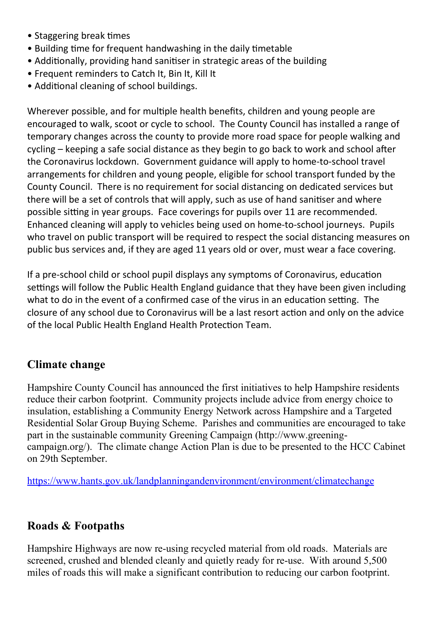- Staggering break times
- Building time for frequent handwashing in the daily timetable
- Additionally, providing hand sanitiser in strategic areas of the building
- Frequent reminders to Catch It, Bin It, Kill It
- Additional cleaning of school buildings.

Wherever possible, and for multiple health benefits, children and young people are encouraged to walk, scoot or cycle to school. The County Council has installed a range of temporary changes across the county to provide more road space for people walking and  $c$ ycling – keeping a safe social distance as they begin to go back to work and school after the Coronavirus lockdown. Government guidance will apply to home-to-school travel arrangements for children and young people, eligible for school transport funded by the County Council. There is no requirement for social distancing on dedicated services but there will be a set of controls that will apply, such as use of hand sanitiser and where possible sitting in year groups. Face coverings for pupils over 11 are recommended. Enhanced cleaning will apply to vehicles being used on home-to-school journeys. Pupils who travel on public transport will be required to respect the social distancing measures on public bus services and, if they are aged 11 years old or over, must wear a face covering.

If a pre-school child or school pupil displays any symptoms of Coronavirus, education settings will follow the Public Health England guidance that they have been given including what to do in the event of a confirmed case of the virus in an education setting. The closure of any school due to Coronavirus will be a last resort action and only on the advice of the local Public Health England Health Protection Team.

# Climate change

Hampshire County Council has announced the first initiatives to help Hampshire residents reduce their carbon footprint. Community projects include advice from energy choice to insulation, establishing a Community Energy Network across Hampshire and a Targeted Residential Solar Group Buying Scheme. Parishes and communities are encouraged to take part in the sustainable community Greening Campaign (http://www.greeningcampaign.org/). The climate change Action Plan is due to be presented to the HCC Cabinet on 29th September.

https://www.hants.gov.uk/landplanningandenvironment/environment/climatechange

# Roads & Footpaths

Hampshire Highways are now re-using recycled material from old roads. Materials are screened, crushed and blended cleanly and quietly ready for re-use. With around 5,500 miles of roads this will make a significant contribution to reducing our carbon footprint.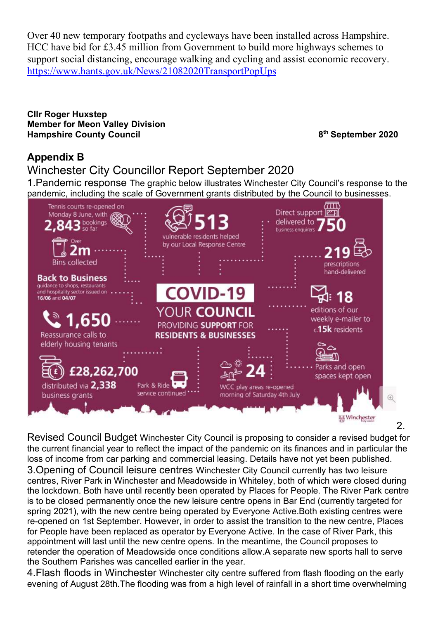Over 40 new temporary footpaths and cycleways have been installed across Hampshire. HCC have bid for £3.45 million from Government to build more highways schemes to support social distancing, encourage walking and cycling and assist economic recovery. https://www.hants.gov.uk/News/21082020TransportPopUps

Cllr Roger Huxstep Member for Meon Valley Division Hampshire County Council and September 2020

# Appendix B

Winchester City Councillor Report September 2020

1.Pandemic response The graphic below illustrates Winchester City Council's response to the pandemic, including the scale of Government grants distributed by the Council to businesses.



 $\mathcal{P}$ 

Revised Council Budget Winchester City Council is proposing to consider a revised budget for the current financial year to reflect the impact of the pandemic on its finances and in particular the loss of income from car parking and commercial leasing. Details have not yet been published. 3.Opening of Council leisure centres Winchester City Council currently has two leisure centres, River Park in Winchester and Meadowside in Whiteley, both of which were closed during the lockdown. Both have until recently been operated by Places for People. The River Park centre is to be closed permanently once the new leisure centre opens in Bar End (currently targeted for spring 2021), with the new centre being operated by Everyone Active.Both existing centres were re-opened on 1st September. However, in order to assist the transition to the new centre, Places for People have been replaced as operator by Everyone Active. In the case of River Park, this appointment will last until the new centre opens. In the meantime, the Council proposes to retender the operation of Meadowside once conditions allow.A separate new sports hall to serve the Southern Parishes was cancelled earlier in the year.

4.Flash floods in Winchester Winchester city centre suffered from flash flooding on the early evening of August 28th.The flooding was from a high level of rainfall in a short time overwhelming